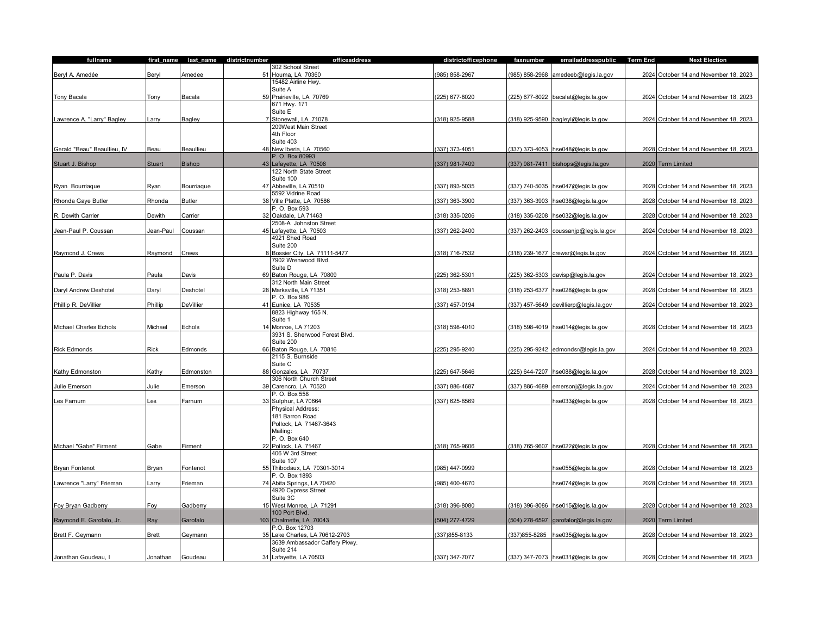| fullname                    |               |                  | first_name last_name districtnumber | officeaddress                                     | districtofficephone | faxnumber      | emailaddresspublic                     | <b>Term End</b> | <b>Next Election</b>                  |
|-----------------------------|---------------|------------------|-------------------------------------|---------------------------------------------------|---------------------|----------------|----------------------------------------|-----------------|---------------------------------------|
|                             |               |                  |                                     | 302 School Street                                 |                     |                |                                        |                 |                                       |
| Beryl A. Amedée             | Beryl         | Amedee           | 51                                  | Houma, LA 70360                                   | 985) 858-2967       | (985) 858-2968 | amedeeb@legis.la.gov                   |                 | 2024 October 14 and November 18, 2023 |
|                             |               |                  |                                     | 15482 Airline Hwy.                                |                     |                |                                        |                 |                                       |
|                             |               |                  |                                     | Suite A                                           |                     |                |                                        |                 |                                       |
| Tony Bacala                 | Tony          | Bacala           |                                     | 59 Prairieville, LA 70769                         | (225) 677-8020      |                | (225) 677-8022 bacalat@legis.la.gov    |                 | 2024 October 14 and November 18, 2023 |
|                             |               |                  |                                     | 671 Hwy. 171                                      |                     |                |                                        |                 |                                       |
|                             |               |                  |                                     | Suite E                                           |                     |                |                                        |                 |                                       |
| Lawrence A. "Larry" Bagley  | Larry         | Bagley           |                                     | 7 Stonewall, LA 71078                             | (318) 925-9588      |                | (318) 925-9590 bagleyl@legis.la.gov    |                 | 2024 October 14 and November 18, 2023 |
|                             |               |                  |                                     | 209West Main Street                               |                     |                |                                        |                 |                                       |
|                             |               |                  |                                     | 4th Floor                                         |                     |                |                                        |                 |                                       |
|                             |               |                  |                                     | Suite 403                                         |                     |                |                                        |                 |                                       |
| Gerald "Beau" Beaullieu, IV | Beau          | Beaullieu        |                                     | 48 New Iberia, LA 70560                           | (337) 373-4051      |                | (337) 373-4053 hse048@legis.la.gov     |                 | 2028 October 14 and November 18, 2023 |
|                             |               |                  |                                     | P. O. Box 80993                                   |                     |                |                                        |                 |                                       |
| Stuart J. Bishop            | <b>Stuart</b> | Bishop           |                                     | 43 Lafayette, LA 70508                            | (337) 981-7409      |                | (337) 981-7411 bishops@legis.la.gov    |                 | 2020 Term Limited                     |
|                             |               |                  |                                     | 122 North State Street                            |                     |                |                                        |                 |                                       |
|                             |               |                  |                                     | Suite 100                                         |                     |                |                                        |                 |                                       |
| Ryan Bourriaque             | Ryan          | Bourriaque       |                                     | 47 Abbeville, LA 70510                            | 337) 893-5035       |                | (337) 740-5035 hse047@legis.la.gov     |                 | 2028 October 14 and November 18, 2023 |
|                             |               |                  |                                     | 5592 Vidrine Road                                 |                     |                |                                        |                 |                                       |
| Rhonda Gaye Butler          | Rhonda        | <b>Butler</b>    |                                     | 38 Ville Platte, LA 70586                         | (337) 363-3900      |                | (337) 363-3903 hse038@legis.la.gov     |                 | 2028 October 14 and November 18, 2023 |
|                             |               |                  |                                     | P. O. Box 593                                     |                     |                |                                        |                 |                                       |
| R. Dewith Carrier           | Dewith        | Carrier          |                                     | 32 Oakdale, LA 71463                              | (318) 335-0206      | (318) 335-0208 | hse032@legis.la.gov                    |                 | 2028 October 14 and November 18, 2023 |
|                             |               |                  |                                     | 2508-A Johnston Street                            |                     |                |                                        |                 |                                       |
| Jean-Paul P. Coussan        | Jean-Paul     | Coussan          |                                     | 45 Lafayette, LA 70503                            | (337) 262-2400      |                | (337) 262-2403 coussanjp@legis.la.gov  |                 | 2024 October 14 and November 18, 2023 |
|                             |               |                  |                                     | 4921 Shed Road                                    |                     |                |                                        |                 |                                       |
|                             |               |                  |                                     | Suite 200                                         |                     |                |                                        |                 |                                       |
| Raymond J. Crews            | Raymond       | Crews            |                                     | 8 Bossier City, LA 71111-5477                     | (318) 716-7532      |                | (318) 239-1677 crewsr@legis.la.gov     |                 | 2024 October 14 and November 18, 2023 |
|                             |               |                  |                                     | 7902 Wrenwood Blvd.                               |                     |                |                                        |                 |                                       |
|                             |               |                  |                                     | Suite D                                           |                     |                |                                        |                 |                                       |
| Paula P. Davis              | Paula         | Davis            |                                     | 69 Baton Rouge, LA 70809                          | 225) 362-5301       |                | (225) 362-5303 davisp@legis.la.gov     |                 | 2024 October 14 and November 18, 2023 |
|                             |               |                  |                                     | 312 North Main Street                             |                     |                |                                        |                 |                                       |
| Daryl Andrew Deshotel       | Daryl         | Deshotel         |                                     | 28 Marksville, LA 71351                           | (318) 253-8891      |                | (318) 253-6377 hse028@legis.la.gov     |                 | 2028 October 14 and November 18, 2023 |
|                             |               |                  |                                     | P. O. Box 986                                     |                     |                |                                        |                 |                                       |
| Phillip R. DeVillier        | Phillip       | <b>DeVillier</b> |                                     | 41 Eunice, LA 70535                               | (337) 457-0194      |                | (337) 457-5649 devillierp@legis.la.gov |                 | 2024 October 14 and November 18, 2023 |
|                             |               |                  |                                     | 8823 Highway 165 N.                               |                     |                |                                        |                 |                                       |
|                             |               |                  |                                     | Suite 1                                           |                     |                |                                        |                 |                                       |
| Michael Charles Echols      | Michael       | Echols           |                                     | 14 Monroe, LA 71203                               | (318) 598-4010      |                | (318) 598-4019 hse014@legis.la.gov     |                 | 2028 October 14 and November 18, 2023 |
|                             |               |                  |                                     | 3931 S. Sherwood Forest Blvd.                     |                     |                |                                        |                 |                                       |
|                             |               |                  |                                     | Suite 200                                         |                     |                |                                        |                 |                                       |
| <b>Rick Edmonds</b>         | Rick          | Edmonds          |                                     | 66 Baton Rouge, LA 70816                          | 225) 295-9240       |                | (225) 295-9242 edmondsr@legis.la.gov   |                 | 2024 October 14 and November 18, 2023 |
|                             |               |                  |                                     | 2115 S. Burnside                                  |                     |                |                                        |                 |                                       |
|                             |               |                  |                                     | Suite C                                           |                     |                |                                        |                 |                                       |
| Kathy Edmonston             | Kathy         | Edmonston        |                                     | 88 Gonzales, LA 70737                             | (225) 647-5646      |                | (225) 644-7207 hse088@legis.la.gov     |                 | 2028 October 14 and November 18, 2023 |
|                             |               |                  |                                     | 306 North Church Street                           |                     |                |                                        |                 |                                       |
| Julie Emerson               | Julie         | Emerson          |                                     | 39 Carencro, LA 70520                             | 337) 886-4687       |                | (337) 886-4689 emersonj@legis.la.gov   |                 | 2024 October 14 and November 18, 2023 |
|                             |               |                  |                                     | P. O. Box 558                                     |                     |                |                                        |                 |                                       |
| Les Farnum                  | Les           | Farnum           |                                     | 33 Sulphur, LA 70664                              | 337) 625-8569       |                | hse033@legis.la.gov                    |                 | 2028 October 14 and November 18, 2023 |
|                             |               |                  |                                     | Physical Address:                                 |                     |                |                                        |                 |                                       |
|                             |               |                  |                                     | 181 Barron Road                                   |                     |                |                                        |                 |                                       |
|                             |               |                  |                                     | Pollock, LA 71467-3643                            |                     |                |                                        |                 |                                       |
|                             |               |                  |                                     | Mailing:                                          |                     |                |                                        |                 |                                       |
|                             |               |                  |                                     | P. O. Box 640                                     |                     |                |                                        |                 |                                       |
| Michael "Gabe" Firment      | Gabe          | Firment          |                                     | 22 Pollock, LA 71467                              | (318) 765-9606      |                | (318) 765-9607 hse022@legis.la.gov     |                 | 2028 October 14 and November 18, 2023 |
|                             |               |                  |                                     | 406 W 3rd Street<br>Suite 107                     |                     |                |                                        |                 |                                       |
|                             |               |                  |                                     |                                                   |                     |                |                                        |                 |                                       |
| <b>Bryan Fontenot</b>       | Bryan         | Fontenot         |                                     | 55 Thibodaux, LA 70301-3014                       | 985) 447-0999       |                | hse055@legis.la.gov                    |                 | 2028 October 14 and November 18, 2023 |
|                             |               |                  |                                     | P. O. Box 1893                                    |                     |                |                                        |                 |                                       |
| Lawrence "Larry" Frieman    | Larry         | Frieman          |                                     | 74 Abita Springs, LA 70420<br>4920 Cypress Street | 985) 400-4670       |                | hse074@legis.la.gov                    |                 | 2028 October 14 and November 18, 2023 |
|                             |               |                  |                                     | Suite 3C                                          |                     |                |                                        |                 |                                       |
| Foy Bryan Gadberry          | Foy           | Gadberry         |                                     | 15 West Monroe, LA 71291                          | 318) 396-8080       |                | (318) 396-8086 hse015@legis.la.gov     |                 | 2028 October 14 and November 18, 2023 |
|                             |               |                  |                                     | 100 Port Blvd.                                    |                     |                |                                        |                 |                                       |
| Raymond E. Garofalo, Jr.    | Ray           | Garofalo         | 103                                 | Chalmette, LA 70043                               | (504) 277-4729      |                | (504) 278-6597 garofalor@legis.la.gov  |                 | 2020 Term Limited                     |
|                             |               |                  |                                     | P.O. Box 12703                                    |                     |                |                                        |                 |                                       |
| Brett F. Geymann            | <b>Brett</b>  | Geymann          |                                     | Lake Charles, LA 70612-2703                       | 337)855-8133        | 337)855-8285   | hse035@legis.la.gov                    |                 | 2028 October 14 and November 18, 2023 |
|                             |               |                  |                                     | 3639 Ambassador Caffery Pkwy.                     |                     |                |                                        |                 |                                       |
|                             |               |                  |                                     | Suite 214                                         |                     |                |                                        |                 |                                       |
| Jonathan Goudeau, I         | Jonathan      | Goudeau          |                                     | 31 Lafayette, LA 70503                            | (337) 347-7077      |                | (337) 347-7073 hse031@legis.la.gov     |                 | 2028 October 14 and November 18, 2023 |
|                             |               |                  |                                     |                                                   |                     |                |                                        |                 |                                       |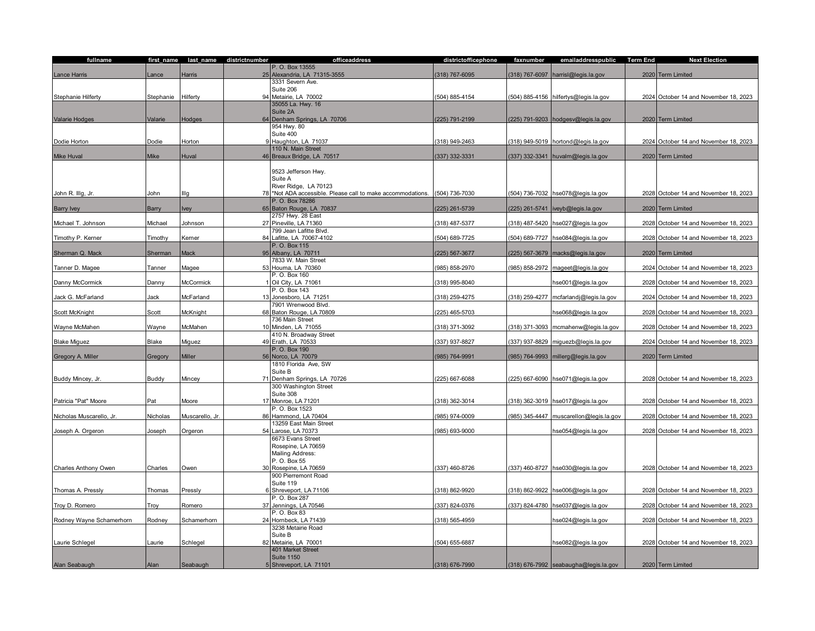| fullname                 | first_name  | last_name       | districtnumber | officeaddress                                               | districtofficephone | faxnumber      | emailaddresspublic                        | <b>Term End</b> | <b>Next Election</b>                  |
|--------------------------|-------------|-----------------|----------------|-------------------------------------------------------------|---------------------|----------------|-------------------------------------------|-----------------|---------------------------------------|
|                          |             |                 |                | P. O. Box 13555                                             |                     |                |                                           |                 |                                       |
| Lance Harris             | ance        | Harris          | 25             | Alexandria, LA 71315-3555                                   | (318) 767-6095      | (318) 767-6097 | harrisl@legis.la.gov                      |                 | 2020 Term Limited                     |
|                          |             |                 |                | 3331 Severn Ave.                                            |                     |                |                                           |                 |                                       |
|                          |             |                 |                | Suite 206                                                   |                     |                |                                           |                 |                                       |
| Stephanie Hilferty       | Stephanie   | Hilferty        |                | 94 Metairie, LA 70002<br>35055 La. Hwy. 16                  | (504) 885-4154      |                | (504) 885-4156 hilfertys@legis.la.gov     |                 | 2024 October 14 and November 18, 2023 |
|                          |             |                 |                | Suite 2A                                                    |                     |                |                                           |                 |                                       |
| Valarie Hodges           | Valarie     | Hodges          | 64             | Denham Springs, LA 70706                                    | (225) 791-2199      |                | (225) 791-9203 hodgesv@legis.la.gov       |                 | 2020 Term Limited                     |
|                          |             |                 |                | 954 Hwy. 80                                                 |                     |                |                                           |                 |                                       |
|                          |             |                 |                | Suite 400                                                   |                     |                |                                           |                 |                                       |
| Dodie Horton             | Dodie       | Horton          |                | 9 Haughton, LA 71037                                        | (318) 949-2463      |                | (318) 949-5019 hortond@legis.la.gov       |                 | 2024 October 14 and November 18, 2023 |
|                          |             |                 |                | 110 N. Main Street                                          |                     |                |                                           |                 |                                       |
| <b>Mike Huval</b>        | <b>Mike</b> | Huval           |                | 46 Breaux Bridge, LA 70517                                  | (337) 332-3331      |                | (337) 332-3341 huvalm@legis.la.gov        |                 | 2020 Term Limited                     |
|                          |             |                 |                |                                                             |                     |                |                                           |                 |                                       |
|                          |             |                 |                | 9523 Jefferson Hwy.<br>Suite A                              |                     |                |                                           |                 |                                       |
|                          |             |                 |                | River Ridge, LA 70123                                       |                     |                |                                           |                 |                                       |
| John R. Illg, Jr.        | John        | Illg            |                | 78 *Not ADA accessible. Please call to make accommodations. | 504) 736-7030       |                | 504) 736-7032 hse078@legis.la.gov         |                 | 2028 October 14 and November 18, 2023 |
|                          |             |                 |                | P. O. Box 78286                                             |                     |                |                                           |                 |                                       |
| <b>Barry Ivey</b>        | Barry       | <b>Ivey</b>     |                | 65 Baton Rouge, LA 70837                                    | (225) 261-5739      |                | (225) 261-5741   iveyb@legis.la.gov       |                 | 2020 Term Limited                     |
|                          |             |                 |                | 2757 Hwy. 28 East                                           |                     |                |                                           |                 |                                       |
| Michael T. Johnson       | Michael     | Johnson         |                | 27 Pineville, LA 71360                                      | (318) 487-5377      |                | (318) 487-5420 hse027@legis.la.gov        |                 | 2028 October 14 and November 18, 2023 |
|                          |             | Kerner          |                | 799 Jean Lafitte Blvd                                       |                     |                |                                           |                 |                                       |
| Timothy P. Kerner        | Timothy     |                 |                | 84 Lafitte, LA 70067-4102<br>P. O. Box 115                  | 504) 689-7725       |                | (504) 689-7727 hse084@legis.la.gov        |                 | 2028 October 14 and November 18, 2023 |
| Sherman Q. Mack          | Sherman     | Mack            | 95             | Albany, LA 70711                                            | (225) 567-3677      |                | (225) 567-3679 macks@legis.la.gov         |                 | 2020 Term Limited                     |
|                          |             |                 |                | 7833 W. Main Street                                         |                     |                |                                           |                 |                                       |
| Tanner D. Magee          | Tanner      | Magee           |                | 53 Houma, LA 70360                                          | (985) 858-2970      | (985) 858-2972 | mageet@legis.la.gov                       |                 | 2024 October 14 and November 18, 2023 |
|                          |             |                 |                | P. O. Box 160                                               |                     |                |                                           |                 |                                       |
| Danny McCormick          | Danny       | McCormick       |                | 1 Oil City, LA 71061                                        | (318) 995-8040      |                | hse001@legis.la.gov                       |                 | 2028 October 14 and November 18, 2023 |
|                          |             |                 |                | P. O. Box 143                                               |                     |                |                                           |                 |                                       |
| Jack G. McFarland        | Jack        | McFarland       |                | 13 Jonesboro, LA 71251                                      | (318) 259-4275      |                | (318) 259-4277 mcfarlandj@legis.la.gov    |                 | 2024 October 14 and November 18, 2023 |
|                          |             |                 |                | 7901 Wrenwood Blvd.                                         |                     |                |                                           |                 |                                       |
| Scott McKnight           | Scott       | McKnight        |                | 68 Baton Rouge, LA 70809<br>736 Main Street                 | (225) 465-5703      |                | hse068@legis.la.gov                       |                 | 2028 October 14 and November 18, 2023 |
| Wayne McMahen            | Wayne       | McMahen         |                | 10 Minden, LA 71055                                         | (318) 371-3092      | (318) 371-3093 | mcmahenw@legis.la.gov                     |                 | 2028 October 14 and November 18, 2023 |
|                          |             |                 |                | 410 N. Broadway Street                                      |                     |                |                                           |                 |                                       |
| <b>Blake Miguez</b>      | Blake       | Miguez          |                | 49 Erath, LA 70533                                          | (337) 937-8827      |                | (337) 937-8829 miguezb@legis.la.gov       |                 | 2024 October 14 and November 18, 2023 |
|                          |             |                 |                | P. O. Box 190                                               |                     |                |                                           |                 |                                       |
| Gregory A. Miller        | Gregory     | Miller          |                | 56 Norco, LA 70079                                          | (985) 764-9991      |                | (985) 764-9993 millerg@legis.la.gov       |                 | 2020 Term Limited                     |
|                          |             |                 |                | 1810 Florida Ave, SW                                        |                     |                |                                           |                 |                                       |
|                          | Buddy       | Mincey          | 71             | Suite B                                                     | (225) 667-6088      |                | (225) 667-6090 hse071@legis.la.gov        |                 |                                       |
| Buddy Mincey, Jr.        |             |                 |                | Denham Springs, LA 70726<br>300 Washington Street           |                     |                |                                           |                 | 2028 October 14 and November 18, 2023 |
|                          |             |                 |                | Suite 308                                                   |                     |                |                                           |                 |                                       |
| Patricia "Pat" Moore     | Pat         | Moore           |                | 17 Monroe, LA 71201                                         | (318) 362-3014      |                | (318) 362-3019 hse017@legis.la.gov        |                 | 2028 October 14 and November 18, 2023 |
|                          |             |                 |                | P. O. Box 1523                                              |                     |                |                                           |                 |                                       |
| Nicholas Muscarello, Jr. | Nicholas    | Muscarello, Jr. |                | 86 Hammond, LA 70404                                        | 985) 974-0009       |                | (985) 345-4447   muscarellon@legis.la.gov |                 | 2028 October 14 and November 18, 2023 |
|                          |             |                 |                | 13259 East Main Street                                      |                     |                |                                           |                 |                                       |
| Joseph A. Orgeron        | Joseph      | Orgeron         | 54             | Larose, LA 70373                                            | (985) 693-9000      |                | hse054@legis.la.gov                       |                 | 2028 October 14 and November 18, 2023 |
|                          |             |                 |                | 6673 Evans Street<br>Rosepine, LA 70659                     |                     |                |                                           |                 |                                       |
|                          |             |                 |                | Mailing Address:                                            |                     |                |                                           |                 |                                       |
|                          |             |                 |                | P. O. Box 55                                                |                     |                |                                           |                 |                                       |
| Charles Anthony Owen     | Charles     | Owen            |                | 30 Rosepine, LA 70659                                       | (337) 460-8726      |                | (337) 460-8727 hse030@legis.la.gov        |                 | 2028 October 14 and November 18, 2023 |
|                          |             |                 |                | 900 Pierremont Road                                         |                     |                |                                           |                 |                                       |
|                          |             |                 |                | Suite 119                                                   |                     |                |                                           |                 |                                       |
| Thomas A. Pressly        | Thomas      | Pressly         |                | 6 Shreveport, LA 71106                                      | (318) 862-9920      | (318) 862-9922 | hse006@legis.la.gov                       |                 | 2028 October 14 and November 18, 2023 |
|                          |             |                 |                | P. O. Box 287                                               |                     |                |                                           |                 |                                       |
| Troy D. Romero           | Troy        | Romero          |                | 37 Jennings, LA 70546                                       | 337) 824-0376       |                | (337) 824-4780 hse037@legis.la.gov        |                 | 2028 October 14 and November 18, 2023 |
| Rodney Wayne Schamerhorn | Rodney      | Schamerhorn     |                | P. O. Box 83<br>24 Hornbeck, LA 71439                       | (318) 565-4959      |                | hse024@legis.la.gov                       |                 | 2028 October 14 and November 18, 2023 |
|                          |             |                 |                | 3238 Metairie Road                                          |                     |                |                                           |                 |                                       |
|                          |             |                 |                | Suite B                                                     |                     |                |                                           |                 |                                       |
| Laurie Schlegel          | aurie.      | Schlegel        |                | 82 Metairie, LA 70001                                       | 504) 655-6887       |                | hse082@legis.la.gov                       |                 | 2028 October 14 and November 18, 2023 |
|                          |             |                 |                | 401 Market Street                                           |                     |                |                                           |                 |                                       |
|                          |             |                 |                | <b>Suite 1150</b>                                           |                     |                |                                           |                 |                                       |
| Alan Seabaugh            | Alan        | Seabaugh        |                | 5 Shreveport, LA 71101                                      | (318) 676-7990      |                | (318) 676-7992 seabaugha@legis.la.gov     |                 | 2020 Term Limited                     |